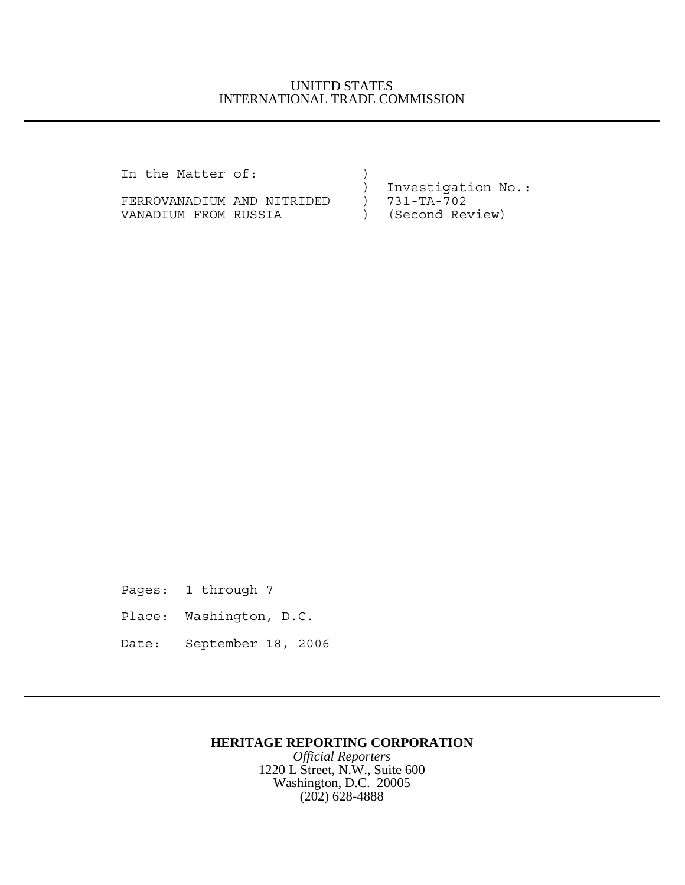## UNITED STATES INTERNATIONAL TRADE COMMISSION

| In the Matter of:          |  |                    |
|----------------------------|--|--------------------|
|                            |  | Investigation No.: |
| FERROVANADIUM AND NITRIDED |  | 731-TA-702         |
| VANADIUM FROM RUSSIA       |  | (Second Review)    |

Pages: 1 through 7 Place: Washington, D.C. Date: September 18, 2006

## **HERITAGE REPORTING CORPORATION**

*Official Reporters* 1220 L Street, N.W., Suite 600 Washington, D.C. 20005 (202) 628-4888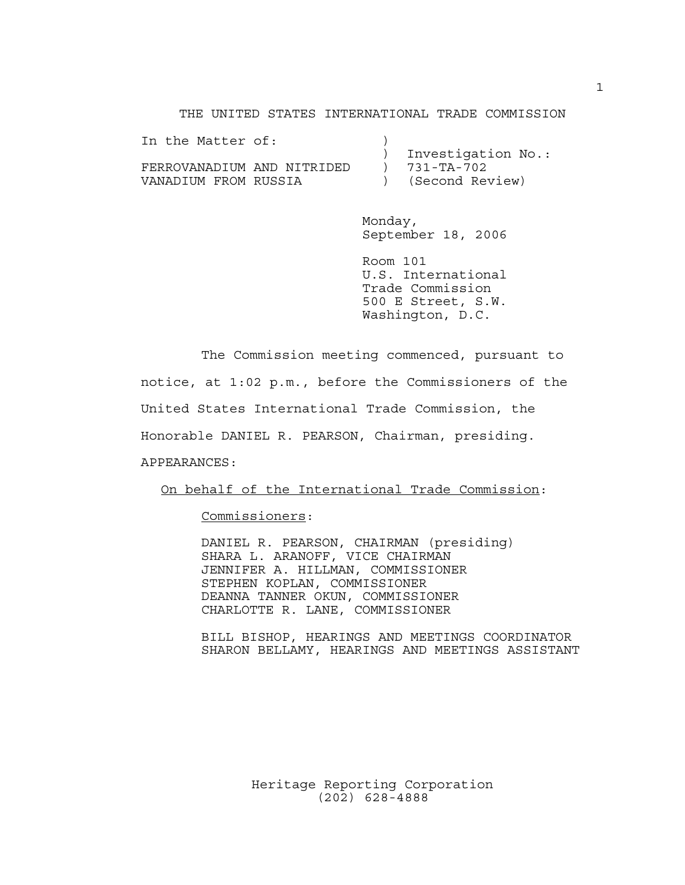THE UNITED STATES INTERNATIONAL TRADE COMMISSION

| In the Matter of:          |  |                    |
|----------------------------|--|--------------------|
|                            |  | Investigation No.: |
| FERROVANADIUM AND NITRIDED |  | 731-TA-702         |
| VANADIUM FROM RUSSIA       |  | (Second Review)    |

Monday, September 18, 2006

Room 101 U.S. International Trade Commission 500 E Street, S.W. Washington, D.C.

The Commission meeting commenced, pursuant to notice, at 1:02 p.m., before the Commissioners of the United States International Trade Commission, the Honorable DANIEL R. PEARSON, Chairman, presiding. APPEARANCES:

On behalf of the International Trade Commission:

Commissioners:

DANIEL R. PEARSON, CHAIRMAN (presiding) SHARA L. ARANOFF, VICE CHAIRMAN JENNIFER A. HILLMAN, COMMISSIONER STEPHEN KOPLAN, COMMISSIONER DEANNA TANNER OKUN, COMMISSIONER CHARLOTTE R. LANE, COMMISSIONER

BILL BISHOP, HEARINGS AND MEETINGS COORDINATOR SHARON BELLAMY, HEARINGS AND MEETINGS ASSISTANT

> Heritage Reporting Corporation (202) 628-4888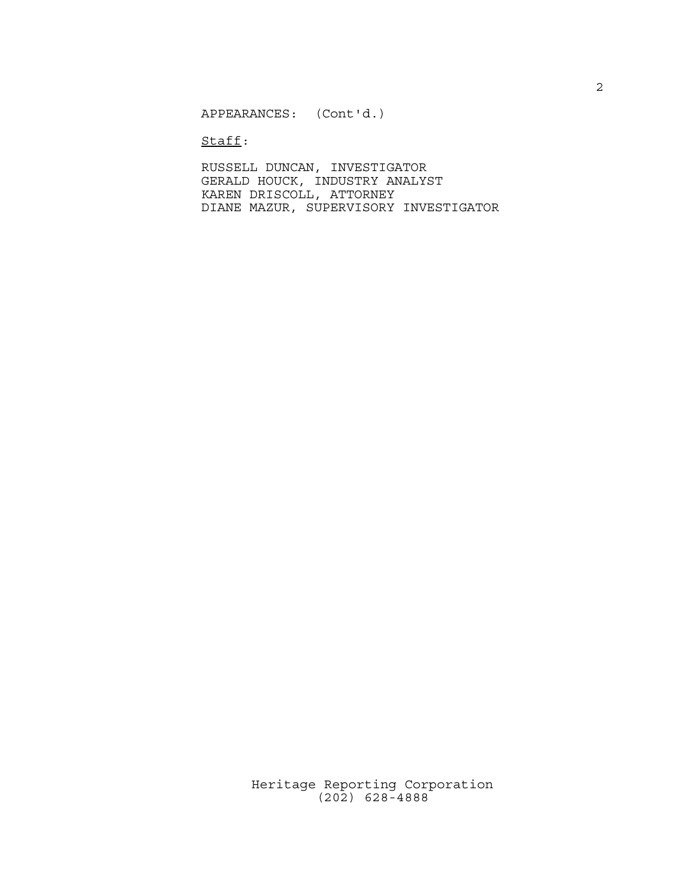APPEARANCES: (Cont'd.)

Staff:

RUSSELL DUNCAN, INVESTIGATOR GERALD HOUCK, INDUSTRY ANALYST KAREN DRISCOLL, ATTORNEY DIANE MAZUR, SUPERVISORY INVESTIGATOR

Heritage Reporting Corporation (202) 628-4888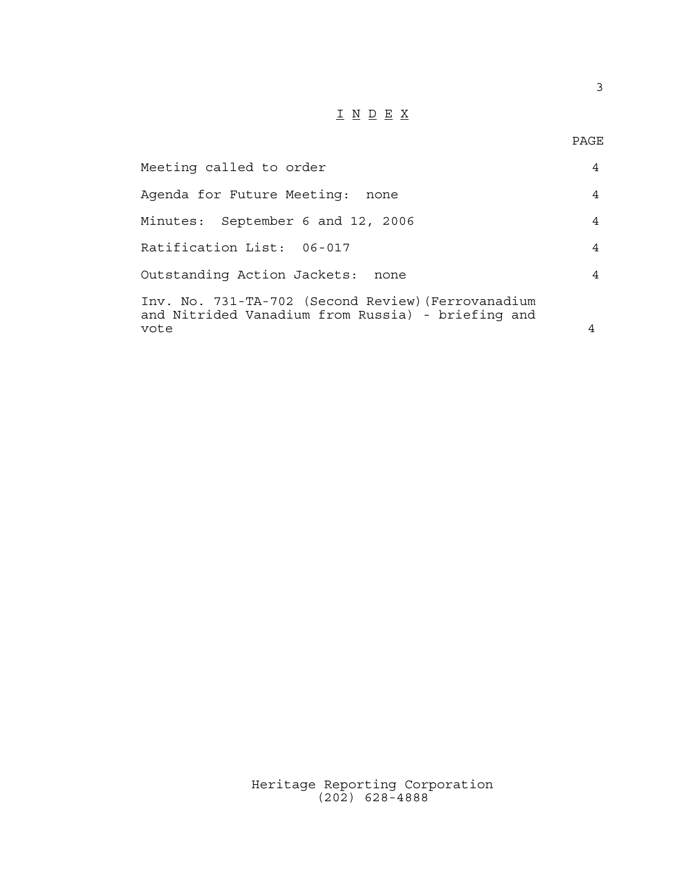## I N D E X

| Meeting called to order                                                                                 | 4 |
|---------------------------------------------------------------------------------------------------------|---|
| Agenda for Future Meeting:<br>none                                                                      | 4 |
| Minutes: September 6 and 12, 2006                                                                       | 4 |
| Ratification List: 06-017                                                                               | 4 |
| Outstanding Action Jackets: none                                                                        | 4 |
| Inv. No. 731-TA-702 (Second Review) (Ferrovanadium<br>and Nitrided Vanadium from Russia) - briefing and |   |
| vote                                                                                                    |   |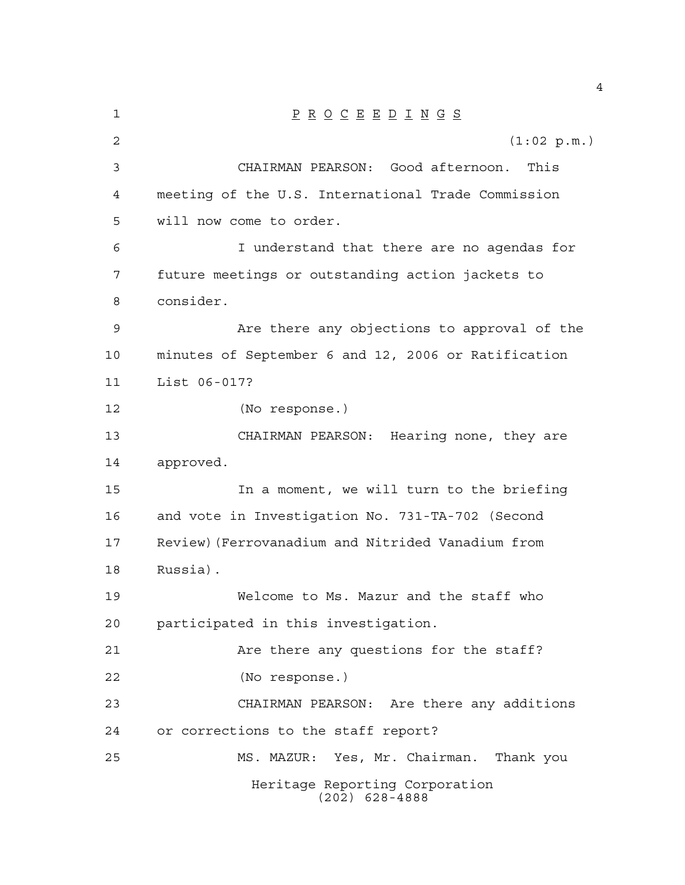| 1              | $\underline{P} \underline{R} \underline{O} \underline{C} \underline{E} \underline{E} \underline{D} \underline{I} \underline{N} \underline{G} \underline{S}$ |
|----------------|-------------------------------------------------------------------------------------------------------------------------------------------------------------|
| $\overline{2}$ | (1:02 p.m.)                                                                                                                                                 |
| 3              | CHAIRMAN PEARSON: Good afternoon.<br>This                                                                                                                   |
| 4              | meeting of the U.S. International Trade Commission                                                                                                          |
| 5              | will now come to order.                                                                                                                                     |
| 6              | I understand that there are no agendas for                                                                                                                  |
| 7              | future meetings or outstanding action jackets to                                                                                                            |
| 8              | consider.                                                                                                                                                   |
| 9              | Are there any objections to approval of the                                                                                                                 |
| 10             | minutes of September 6 and 12, 2006 or Ratification                                                                                                         |
| 11             | List 06-017?                                                                                                                                                |
| 12             | (No response.)                                                                                                                                              |
| 13             | CHAIRMAN PEARSON: Hearing none, they are                                                                                                                    |
| 14             | approved.                                                                                                                                                   |
| 15             | In a moment, we will turn to the briefing                                                                                                                   |
| 16             | and vote in Investigation No. 731-TA-702 (Second                                                                                                            |
| 17             | Review) (Ferrovanadium and Nitrided Vanadium from                                                                                                           |
| 18             | Russia).                                                                                                                                                    |
| 19             | Welcome to Ms. Mazur and the staff who                                                                                                                      |
| 20             | participated in this investigation.                                                                                                                         |
| 21             | Are there any questions for the staff?                                                                                                                      |
| 22             | (No response.)                                                                                                                                              |
| 23             | CHAIRMAN PEARSON: Are there any additions                                                                                                                   |
| 24             | or corrections to the staff report?                                                                                                                         |
| 25             | MS. MAZUR: Yes, Mr. Chairman. Thank you                                                                                                                     |
|                | Heritage Reporting Corporation<br>$(202)$ 628-4888                                                                                                          |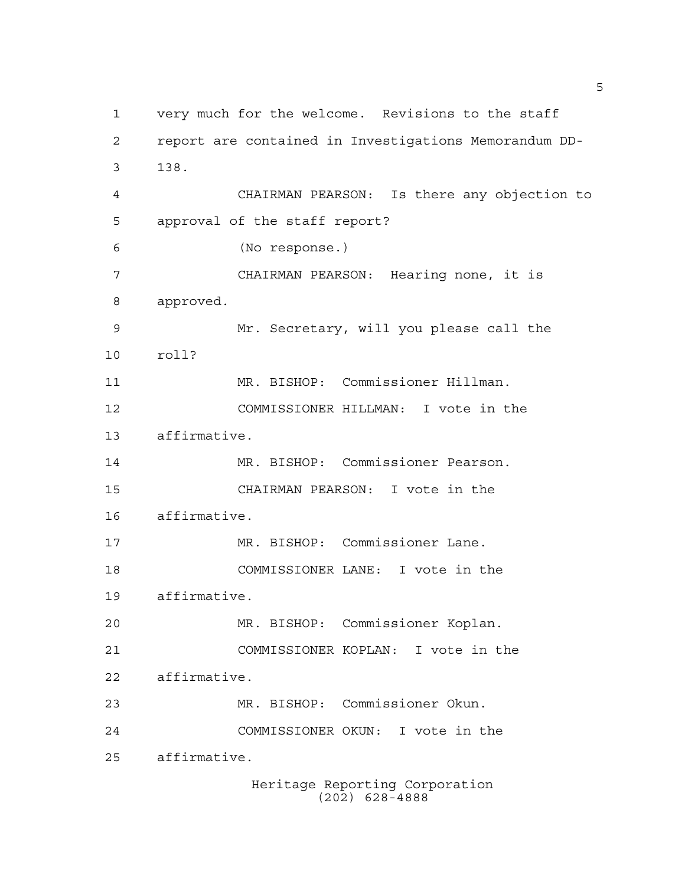Heritage Reporting Corporation very much for the welcome. Revisions to the staff report are contained in Investigations Memorandum DD- 138. CHAIRMAN PEARSON: Is there any objection to approval of the staff report? (No response.) CHAIRMAN PEARSON: Hearing none, it is approved. Mr. Secretary, will you please call the roll? MR. BISHOP: Commissioner Hillman. COMMISSIONER HILLMAN: I vote in the affirmative. MR. BISHOP: Commissioner Pearson. CHAIRMAN PEARSON: I vote in the affirmative. MR. BISHOP: Commissioner Lane. COMMISSIONER LANE: I vote in the affirmative. MR. BISHOP: Commissioner Koplan. COMMISSIONER KOPLAN: I vote in the affirmative. MR. BISHOP: Commissioner Okun. COMMISSIONER OKUN: I vote in the affirmative.

(202) 628-4888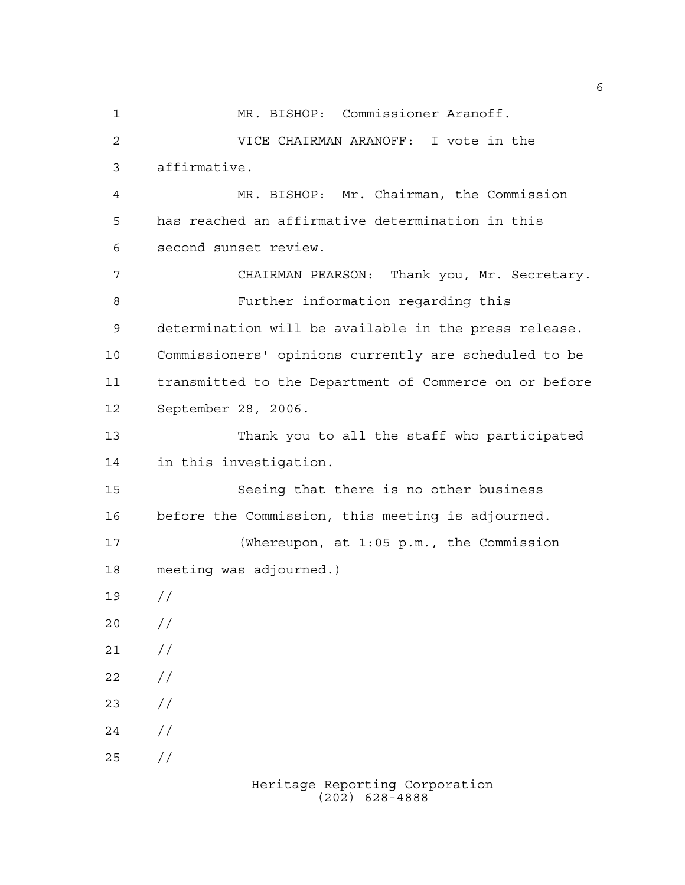MR. BISHOP: Commissioner Aranoff. VICE CHAIRMAN ARANOFF: I vote in the affirmative. MR. BISHOP: Mr. Chairman, the Commission has reached an affirmative determination in this second sunset review. CHAIRMAN PEARSON: Thank you, Mr. Secretary. Further information regarding this determination will be available in the press release. Commissioners' opinions currently are scheduled to be transmitted to the Department of Commerce on or before September 28, 2006. Thank you to all the staff who participated in this investigation. Seeing that there is no other business before the Commission, this meeting is adjourned. (Whereupon, at 1:05 p.m., the Commission meeting was adjourned.) //  $20 /$  $21 /$  $22 / /$  $23 / /$  $24 /$  $25 / /$ 

> Heritage Reporting Corporation (202) 628-4888